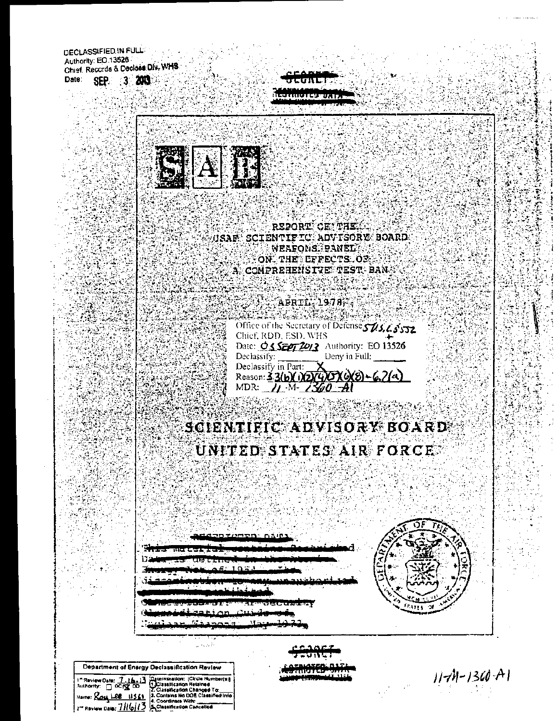DECLASSIFIED IN FULL: Authority: EO 13526 Chief, Records & Declass Div, WHS SEP. 3 2003 Date:

REPORT OF THE REAL USAF SCIENTIFIC ADVISORY BOARD WEAFONS PANEL AND THE ON THE LEFFECTS OF  $\mathbb{R}$  comprehensive test ban  $\mathbb{S}$ コレン

 $\mathcal{T}_{\mathcal{C},\mathcal{C}}$ بمنتشف **1999 - Afrik 1978 -**NGC 2008-2014 SIMBAD Office of the Secretary of Detense 503, 65'572 Chief, RDD, ESD, WHS Date: 03 5507 2013 Authority: EO 13526 Declassify:  $\frac{1}{\sqrt{2\pi}}$  Deny in Full: Declassify in Part:<br>Reason: 3 3(b)(1)(2)(2)(5)(c)(8) - 6.2(a)<br>MDR: 71 - 11 - 1360 - Al

# SCIENTIFIC ADVISORY BOARD UNITED STATES AIR FORCE.

 $11 - 130 - 11$ 

્ર

Department of Energy Declassification Review

1<sup>8</sup> Review Oate:  $\frac{7 \cdot 16 \cdot 13}{2}$  Determination: [Circle Number(11]<br>Authority:  $\Box$  OCTS DO 11 Classification Relation<br>Name:  $\angle 2\alpha \underline{V}$  LEE 14541 2. Contains No DOE Classification<br>2<sup>-2</sup> Review Date:  $\frac{7116173}{2}$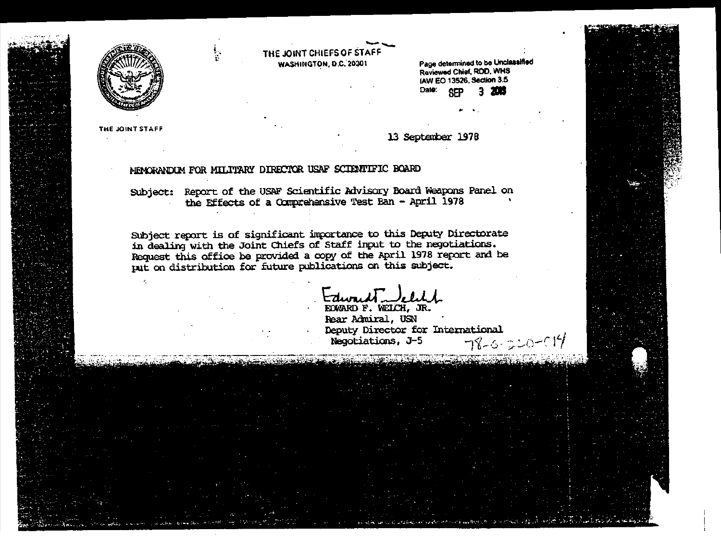



THE JOINT STAFF

Edward Lelyh

Negotiations, J-5

Rear Admiral, USN

Deputy Director for International

اللَّهِ (١٩٣) الآول الأولى والتَّبِيُّة (١٩٧) - الله - الله - الله الأولادي الأمرين (١٩٨) الله عن ال المعتقد ال

 $78 - 6 - 20 - 19$ 

Subject report is of significant importance to this Deputy Directorate in dealing with the Joint Chiefs of Staff input to the negotiations. Request this office be provided a copy of the April 1978 report and be put on distribution for future publications on this subject.

Subject: Report of the USAF Scientific Advisory Board Weapons Panel on the Effects of a Comprehensive Test Ban - April 1978

THE JOINT CHIEFS OF STAFF

WASHINGTON, D.C. 20301

MEMORANDUM FOR MILITARY DIRECTOR USAF SCIENTIFIC BOARD

Date: **CFP** 3. 20a

13 September 1978

Page determined to be Unclassified Reviewed Chief, RDD, WHS IAW EO 13526, Section 3.5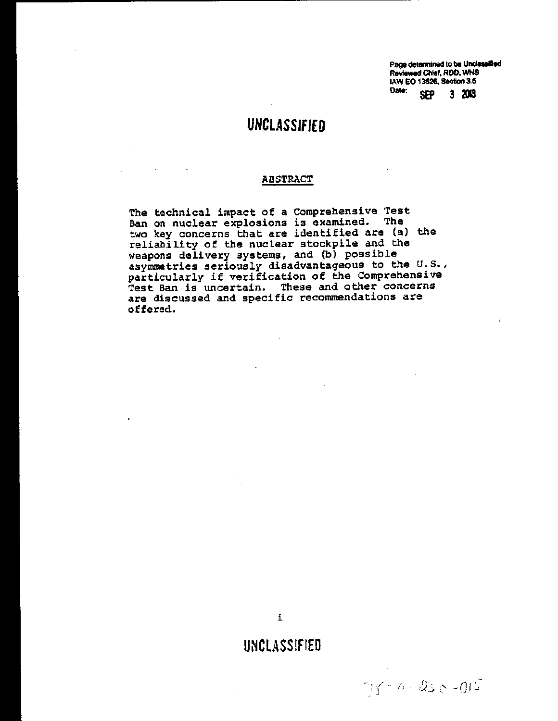Page determined to be Unclassified Reviewed Chief, RDD, WHS IAW EO 13526, Section 3.5 Date: **SEP**  $3203$ 

 $715 - 250 - 015$ 

## **UNCLASSIFIED**

t,

 $\mathcal{L}^{\mathcal{L}}$ 

#### **ABSTRACT**

The technical impact of a Comprehensive Test Ban on nuclear explosions is examined. The two key concerns that are identified are (a) the reliability of the nuclear stockpile and the weapons delivery systems, and (b) possible asymmetries seriously disadvantageous to the U.S., particularly if verification of the Comprehensive Test Ban is uncertain. These and other concerns are discussed and specific recommendations are offered.

## UNCLASSIFIED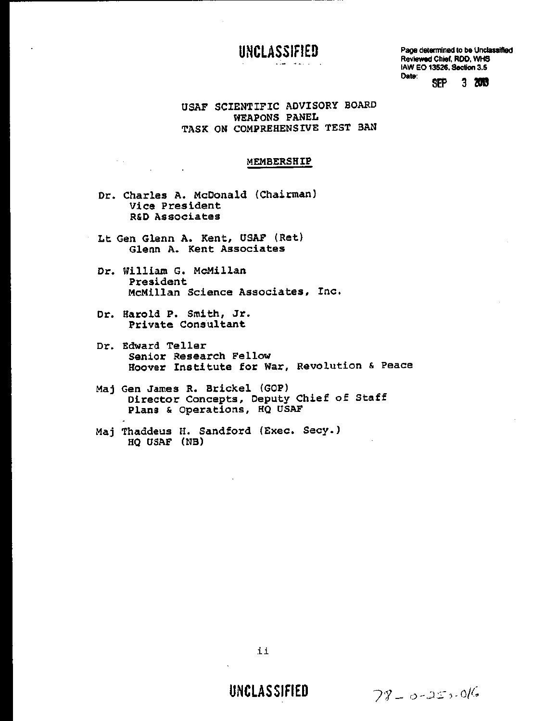## **UNCLASSifiED**

Page determined to be Unclassified Reviewed Chief. RDD, WHS<br>
NAW EO 13526, Section 3.5<br>
Date: SEP 3. 2013 lAW EO 13526. Section 3.5

USAF SCIENTIFIC ADVISORY BOARD WEAPONS PANEL TASK ON COMPREHENSIVE TEST BAN

#### MEMBERSHIP

- Dr. Charles A. McDonald (Chairman) Vice President R&D Associates
- Lt Gen Glenn A. Kent, USAF (Ret) Glenn A. Kent Associates
- Dr. William G. McMillan President McMillan Science Associates, Inc.
- Dr. Harold P. Smith, Jr. Private Consultant

**Service State** 

 $\sim 10^{11}$ 

- Dr. Edward Teller Senior Research Fellow Hoover Institute for War, Revolution & Peace
- Maj Gen James R. Brickel (GOP) Director Concepts, Deputy Chief of Staff Plans & Operations, HO USAF
- Maj Thaddeus H. Sandford (Exec. Secy.) HO USAF (NB)

**UNCLASSIFIED** 

 $78 - 0 - 25 - 016$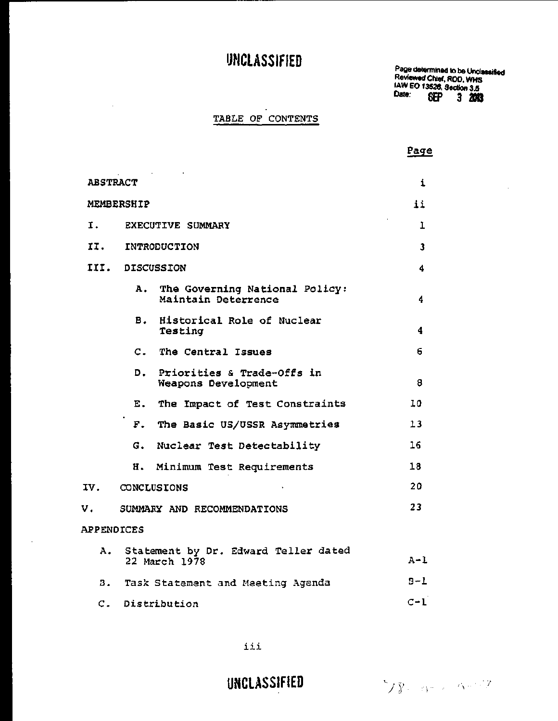Page determined to be Unclassified Reviewed Chief, ROO, WHS lAW EO 13528, Section 3.5 Date: **BEP 3 mil** 

### TABLE OF CONTENTS

 $\hat{\boldsymbol{\beta}}$ 

l.

Page

| <b>ABSTRACT</b>   |                                                             |                         |
|-------------------|-------------------------------------------------------------|-------------------------|
| <b>MEMBERSHIP</b> |                                                             |                         |
| I.                | <b>EXECUTIVE SUMMARY</b>                                    | 1                       |
|                   | II. INTRODUCTION                                            | $\overline{\mathbf{3}}$ |
|                   | III. DISCUSSION                                             | 4                       |
|                   | The Governing National Policy:<br>А.<br>Maintain Deterrence | 4                       |
|                   | B. Historical Role of Nuclear<br>Testing                    | 4                       |
|                   | C. The Central Issues                                       | 6.                      |
|                   | D.<br>Priorities & Trade-Offs in<br>Weapons Development     | 8                       |
|                   | The Impact of Test Constraints<br>Ε.                        | 10                      |
|                   | F. The Basic US/USSR Asymmetries                            | 13                      |
|                   | G. Nuclear Test Detectability                               | 16                      |
|                   | н.<br>Minimum Test Requirements                             | 18                      |
| IV.               | CONCLUSIONS                                                 | 20                      |
| v.                | SUMMARY AND RECOMMENDATIONS                                 | 23                      |
| <b>APPENDICES</b> |                                                             |                         |
| А.                | Statement by Dr. Edward Teller dated<br>22 March 1978       | $A - L$                 |
|                   | B. Task Statement and Meeting Agenda                        | $9 - L$                 |
| $\mathsf{C}$ .    | Distribution                                                | $C-1$                   |

iii

**UNCLASSIFIED**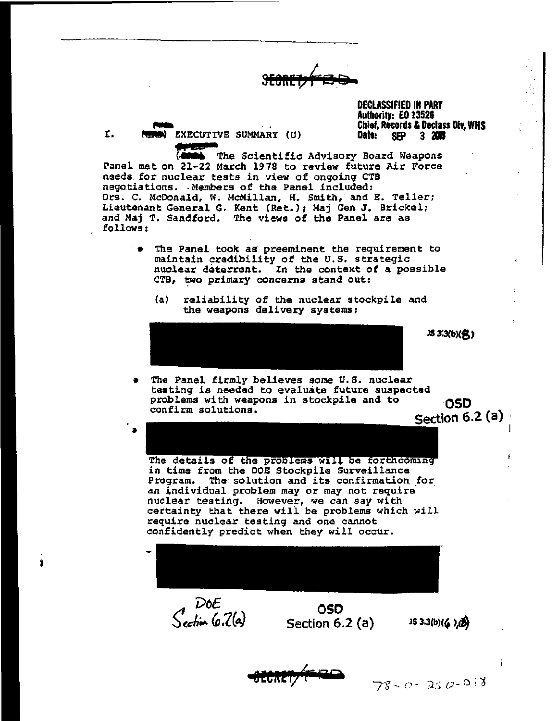DECLASSIFIED IN PART Authority: EO 13526 Chief, Records & Dlclass Div, WHS Date:

r-a I. (THE EXECUTIVE SUMMARY (U)

*"SO*  The Scientific Advisory Board Weapons Panel met on 21-22 March 1978 to review future Air Force needs. for nuclear tests in view of ongoing CTB negotiations. Members of the Panel included: Drs. C. McDonald, W. McMillan, H. Smith, and E. Teller; Lieutenant General G. Kent (Ret.); Maj Gen J. Brickel; and Maj T. Sandford. The views of the Panel are as follows:

- The Panel took as preeminent the requirement to maintain credibility of the U.S. strategic nuclear deterrent. In the context of a possible CTB, two primary concerns stand out:
	- (a) reliability of the nuclear stockpile and the weapons delivery systems;



**JS 3.3(b)(名)** 

- The Panel firmly believes some U.S. nuclear testing is needed to evaluate future suspected problems with weapons in stockpile and to 05D<br>confirm solutions.
	- I Section 6.2 (a)

The details of the problems will be forthcoming in time from the DOE Stockpile Surveillance Program. The· solution and its confirmation. for an individual problem may or may not require nuclear testing. However, we can say with certainty that there will be problems which will require nuclear testing and one cannot confidently predict when they will occur.



DOE<br>Section 6.2(a)

•• I

I

LUNCI)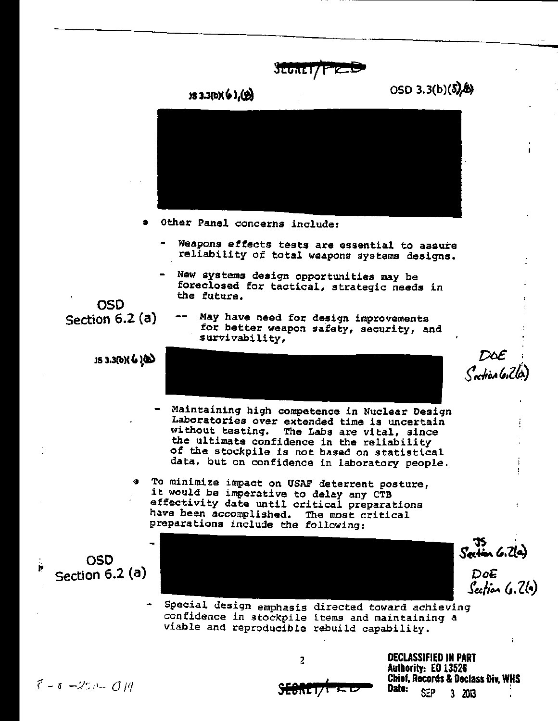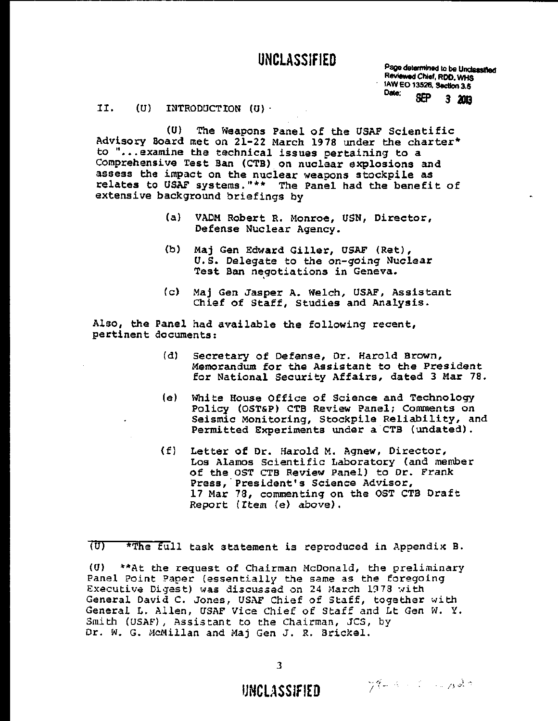Page determined to be Unclassified Reviewed Chief, ROO, WHS 1AW EO 13526, Section 3.5<br>Date: **SEP** 3., 2013

#### II. (U) INTRODUCTION (U)-

(U) The Weapons Panel of the USAF Scientific Advisory Board met on 21-22 March 1978 under the charter\* to "...examine the technical issues pertaining to a Comprehensive Test Ban (CTB) on nuclear explosions and assess the impact on the nuclear weapons stockpile as relates to USAF systems."\*\* The Panel had the benefit of extensive background briefings by

- (a) VADM Robert R. Monroe, USN, Director, Defense Nuclear Agency.
- (b) Maj Gen Edward Giller, USAF (Ret), *U.S.* Delegate to the on-going Nuclear Test Ban negotiations in Geneva.
- (c) Maj Gen Jasper A. Welch, USAF, Assistant Chief of Staff, Studies and Analysis.

Also, the Panel had available the following recent, pertinent documents:

- (d) Secretary of Defense, Dr. Harold Brown, Memorandum for the Assistant to the President for National Security Affairs, dated 3 Mar 78.
- (e) White House Office of Science and Technology Policy (OST&P) CTB Review Panel; Comments on Seismic Monitoring, Stockpile Reliability, and Permitted Experiments under a CTB (undated).
- (f) Letter of Dr. Harold M. Agnew, Director, Los Alamos Scientific Laboratory (and member of the OST CTB Review Panel) to Dr. Frank Press,' President's Science Advisor, 17 Mar 78, commenting on the OST CTB Draft Report (Item (e) above).

 $\overline{(U)}$  \*The full task statement is reproduced in Appendix B.

 $(U)$  \*\* At the request of Chairman McDonald, the preliminary Panel Point Paper (essentially the same as the foregoing Executive Digest) was discussed on 24 March 1978 with General David C. Jones, USAF Chief of Staff, together with General L. Allen, USAF Vice Chief of Staff and Lt Gen W. Y. Smith (USAF), Assistant to the Chairman, JCS, by Dr. W. G. McMillan and Maj Gen J. R. Brickel.

**IJNCL\SSlfiED** ... ~ .~';: ! ,.- /) ,) .-.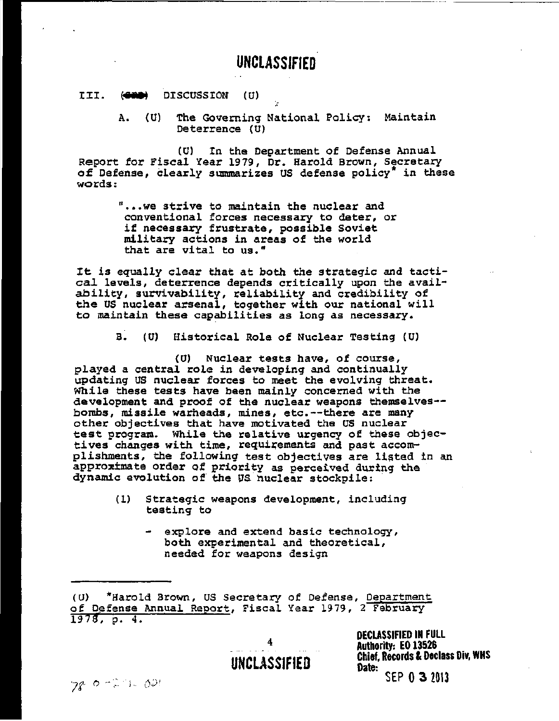## UNCLASSIfiED

#### III. (GRO) DISCUSSION (U)

A. (U) The Governing National Policy: Maintain Deterrence (U)

(U) In the Department of Defense Annual Report for Fiscal Year 1979, Dr. Harold Brown, Secretary of Defense, clearly summarizes US defense policy<sup>\*</sup> in these words:

> "...we strive to maintain the nuclear and conventional forces necessary to deter, or if necessary frustrate, possible Soviet military actions in areas of the world that are vital to us."

It is equally clear that at both the strategic and tacti*cal* levels, deterrence depends critically upon the availability, survivability, reliability and credibility of the us nuclear arsenal, together with our national will to maintain these capabilities as long as necessary.

B. (U) Historical Role of Nuclear Testing (U)

(0) Nuclear tests have, of course, played a central role in developing and continually updating US nuclear forces to meet the evolving threat. While these tests have been mainly concerned with the development and proof of the nuclear weapons themselves- bombs, missile warheads, mines, etc.--there are many other objectives that have motivated the US nuclear test program. While the relative urgency of these objectives changes with time, requirements and past accomplishments, the following test objectives are listed in an approximate order of priority as perceived during the dynamic evolution of the US nuclear stockpile: .

- (1) Strategic weapons development, including testing to
	- explore and extend basic technology, both experimental and theoretical, needed for weapons design

4 UNCLASSIFIED DECLASSIFIED IN FULL Authority: EO 13526 Chief, Records & Declass Div, WHS Date: SEP 0 3 2013

 $780 - 21.001$ 

*<sup>(</sup>a)* \*Harold Brown, US Secretary of Defense, Department of Defense Annual Report, Fiscal Year 1979, 2 February  $1978, p. 4.$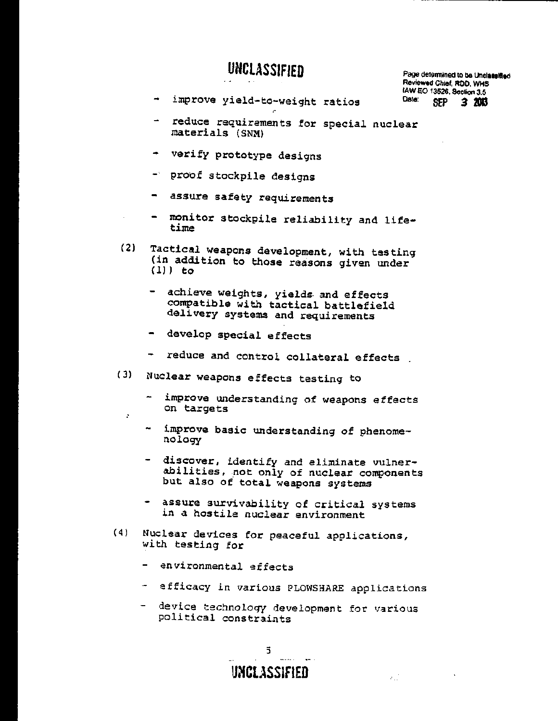Page determined to be Unclassified Reviewed Chief, ROO, WHS **IAW EO 13526, Section 3.5**<br>Date: en: 2 **1013** SEP 3 2013

- improve yield-to-weight ratios
- reduce requirements for special nuclear materials (SNM)
- verify prototype designs
- proof stockpile designs
- assure safety requirements
- monitor stockpile reliability and lifetime
- (2) Tactical weapons development, with testing (in addition to those reasons given under (I)) to
	- achieve weights, yields and effects compatible with tactical battlefield delivery systems and requirements
	- develop special effects

 $\cdot$ 

- reduce and control collateral effects.
- (3) Nuclear weapons effects testing to
	- improve understanding of weapons effects on targets
	- improve basic understanding of phenome- nology
	- discover, identify and eliminate vulnerabilities, not only of nuclear components but also of total weapons systems
	- assure survivability of critical systems in a hostile nuclear environment
- (4) Nuclear devices for peaceful applications, with testing for
	- environmental effects
	- efficacy in various PLOWSHARE applications
	- device technology development for various political constraints

UNCLASSIFIED

 $\chi^{(1)}_{11}$ 

5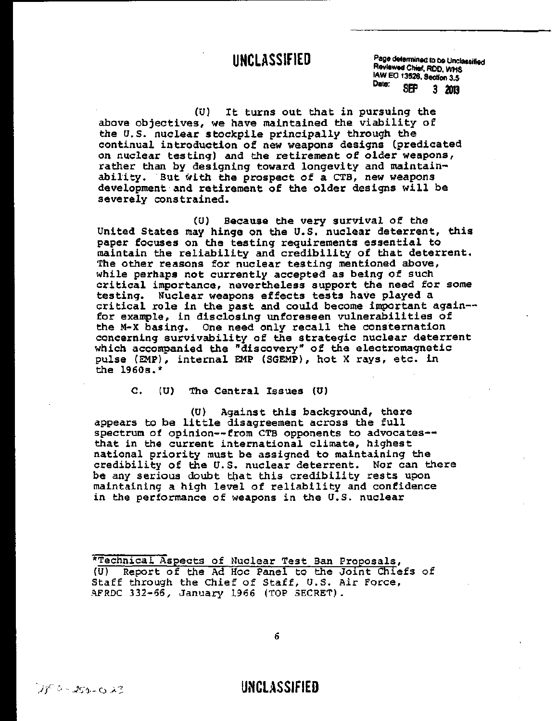**UNCLASSIFIED** Page determined to be Unclassified Reviewed Chief, ROO, WHS lAW EO 13526, Section 3.5 Date: **SEP 3 2013** 

(0) It turns out that in pursuing the above objectives, we have maintained the viability of the *U.S.* nuclear stockpile principally through the continual introduction of new weapons designs (predicated on nuclear testing) and the retirement of older weapons, rather than by designing toward longevity and maintainability. But with the prospect of a CTB, new weapons development and retirement of the older designs will be severely constrained.

(U) Because the very survival of the United States may hinge on the U.S. nuclear deterrent, this paper focuses on the testing requirements essential to maintain the reliability and credibility of that deterrent. The other reasons for nuclear testing mentioned above, while perhaps not currently accepted as being of such critical importance, nevertheless support the need for some testing. Nuclear weapons effects tests have played a critical role in the past and could become important again- for example, in disclosing unforeseen vulnerabilities of the M-X basing. One need only recall the consternation concerning survivability of the strategic nuclear deterrent which accompanied the "discovery" of the electromagnetic pulse (EMP), internal EMP (SGEMP), hot X rays, etc. in the 1960s.\*

c. (U) The Central Issues (U)

(U) Against this background, there appears to be little disagreement across the full spectrum of opinion--from CTB opponents to advocates- that in the current international climate, highest national priority must be assigned to maintaining the credibility of the U.S. nuclear deterrent. Nor can there be any serious doubt that this credibility rests upon maintaining a high level of reliability and confidence in the performance of weapons in the U.S. nuclear

\*Technical Aspects of Nuclear Test Ban Proposals, (U) Report of the Ad Hoc Panel to the Joint Chiefs of Staff through the Chief of Staff, U.S. Air Force, AFRDC 332-66, January 1966 (TOP SECRET).

6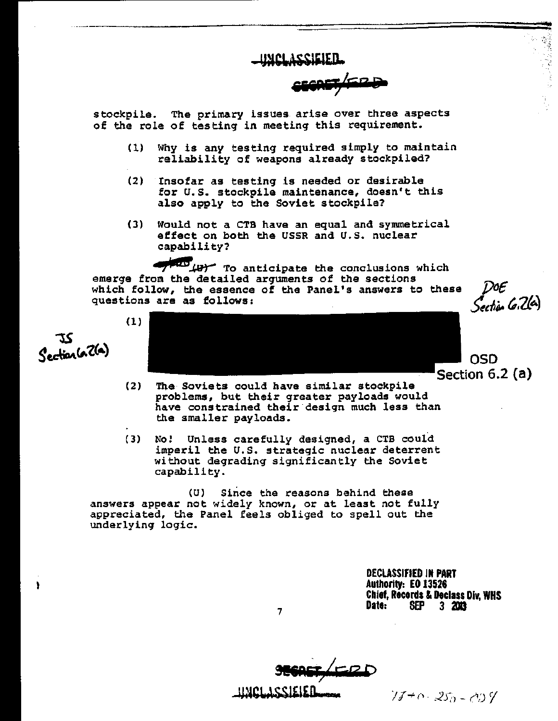UMCLASSIEIED.

**&&&RW;4rR ik** 

stockpile. The primary issues. arise over three aspects of the role of testing in meeting this requirement.

- $(1)$  Why is any testing required simply to maintain reliability of weapons already stockpiled?
- (2) Insofar as testing is needed or desirable for U.S. stockpile maintenance, doesn't this also apply to the Soviet stockpile?
- (3) Would not a CTB have an equal and symmetrical effect on both the USSR and U.S. nuclear capability?

**AND** *tur* To anticipate the conclusions which emerge from the detailed arguments of the sections which follow, the essence of the Panel's answers to these questions are as follows:

72 Section (a 2(a)

 $\lambda$ 

(1) Section 6.2 (a)

- (2) The Soviets could have similar stockpile problems, but their greater payloads would have constrained their design much less than the smaller payloads.
- (3) No! Unless carefully designed, a CTB could imperil the U.s. strategic nuclear deterrent without degrading significantly the Soviet capability.

(U) Since the reasons behind these answers appear not widely known, or at least not fully appreciated, the Panel feels obliged to spell out the underlying logic.

> DECLASSIFIED IN PART Authority: EO 13526 Chief, Records & Declass Div, WHS Date: SEP 3 2013

050

Šection 6:26)

 $\frac{1}{2}$   $\frac{1}{2}$   $\frac{1}{2}$   $\frac{1}{2}$   $\frac{1}{2}$   $\frac{1}{2}$   $\frac{1}{2}$   $\frac{1}{2}$   $\frac{1}{2}$   $\frac{1}{2}$   $\frac{1}{2}$   $\frac{1}{2}$   $\frac{1}{2}$   $\frac{1}{2}$   $\frac{1}{2}$   $\frac{1}{2}$   $\frac{1}{2}$   $\frac{1}{2}$   $\frac{1}{2}$   $\frac{1}{2}$   $\frac{1}{2}$   $\frac{1}{2}$ 

7

986REF<sub>7</sub>4ERD ~~I.~SSl£l£n........ *J* l~ () - 2j~,) - (l,J 1

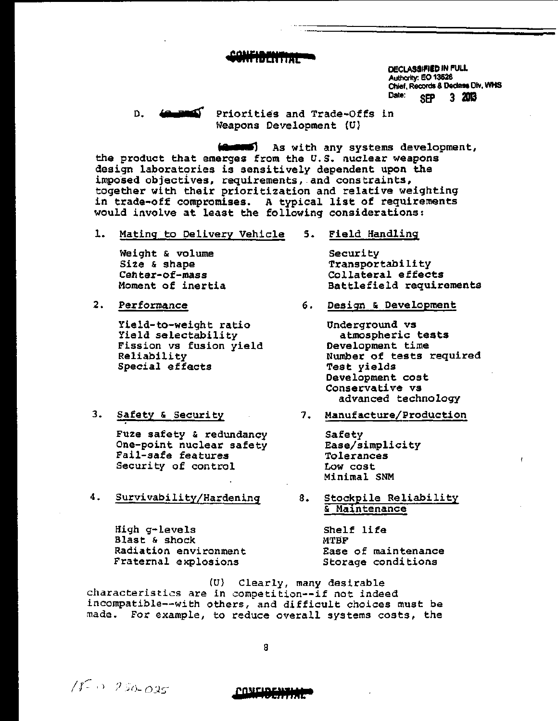## **C811ftBENTlML a**

DECLASSIFIED IN FULL Authority: EO 13526 Chief, Records & Declass Div, WHS Date: SEP 3 2013

D. **(2 zRIF** Priorities and Trade-Offs in Weapons Development (U)

**figurers**) As with any systems development, the product that emerges from the U.S. nuclear weapons design laboratories is sensitively dependent upon the imposed objectives, requirements, and constraints, together with their prioritization and relative weighting in trade-off compromises. A typical list of requirements would involve at least the following considerations:

1. Mating to Delivery Vehicle 5. Field Handling

Weight & volume Size & shape Center-of-mass Moment of inertia

2. Performance

Yield-to-weight ratio Yield selectability Fission vs fusion yield Reliability Special effects

3. Safety & Security

Fuze safety & redundancy One-point nuclear safety Fail-safe features Security of control

4. Survivability/Hardening

High g-levels Blast & shock Radiation environment Fraternal explosions

 $15 - 250 - 025$  **CONFIDENTIAL** 

Security Transportability Collateral effects Battlefield requirements

6. Design & Development

Underground vs atmospheric tests Development time Number of tests required Test yields Development cost Conservative vs advanced technology

7. Manufacture/Production

Safety Ease/simplicity Tolerances Low cost Minimal SNM

8. Stockpile Reliability & Maintenance

> Shelf life MTSP Ease of maintenance Storage conditions

(U) Clearly, many desirable characteristics are in competition--if not indeed incompatible--with others, and difficult choices must be made. For example, to reduce overall systems costs, the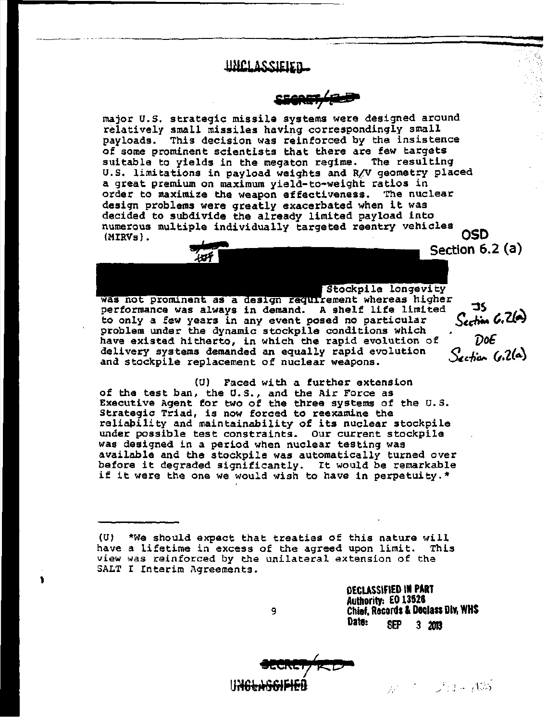### **UNCLASSIEIEN...**

·--------- -- ---------.~-------=================::::-. <sup>~</sup>

iE&R&;{~

major U.S. strategic missile systems were designed around relatively small missiles having correspondingly small payloads. This decision was reinforced by the insistence of some prominent scientists that there are few targets suitable to yields in the megaton regime. The resulting U.S. limitations in payload weights and R/V geometry placed a great premium on maximum yield-to-weight ratios in order to maximize the weapon effectiveness. The nuclear design problems were greatly exacerbated when it was decided to subdivide the already limited payload into numerous multiple individually targeted reentry vehicles OSD (MIRVs) . Section 6.2 (a)

**Latockpile longevity** 

**-**

Section (p.2(a)

was not prominent as a design requirement whereas higher performance was always in demand. A shelf life limited 35<br>to only a few years in any event posed no particular Section 6.26 problem under the dynamic stockpile conditions which  $\overline{C}$ .<br>have existed hitherto, in which the rapid evolution of  $\overline{D}06$ have existed hitherto, in which the rapid evolution of delivery systems demanded an equally rapid evolution and stockpile replacement of nuclear weapons.

CU) Faced with a further extension of the test ban, the U.S., and the Air Force as Executive Agent for two of the three systems of the U.S. Strategic Triad, is now forced to reexamine the reliapility and maintainability of its nuclear stockpile under possible test constraints. Our current stockpile was designed in a period when nuclear testing was available and the stockpile was automatically turned over before it degraded significantly. It would be remarkable if it were the one we would wish to have in perpetuity. \*

*(U)* \*We should expect that treaties of this nature will have a lifetime in excess of the agreed upon limit. view was reinforced by the unilateral extension of the SALT I Interim Agreements.

9

 $\frac{1}{\sqrt{2}}$ 

OECLASSIfiED IN PART Authority: EO 13528 Chief, Records & Daclass DIY, WHS Date: SEP 3 2013

**BECRET/RED"** 

 $\mathbb{R}^{n\times2}$  , ...  $\mathbb{R}^{n\times3}$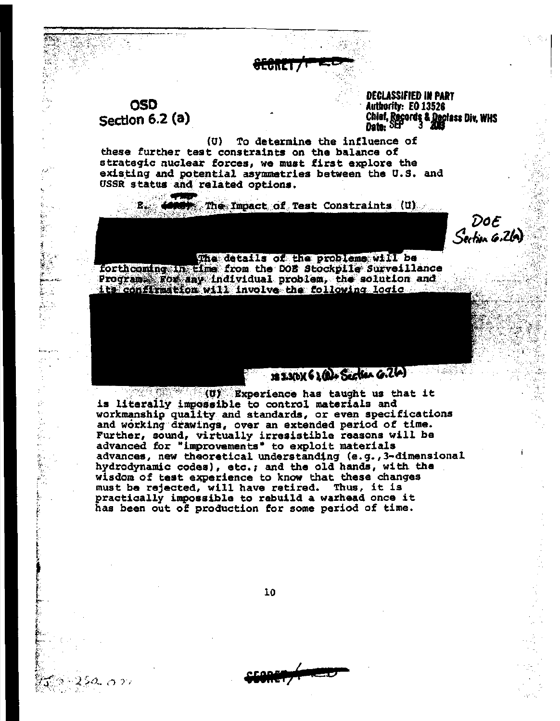OSD Section 6.2 (a)

 $\sim$  .

Ŷ.

į 1972年

.<br>T

 $\frac{\epsilon}{P}$ 

, *t*  i f  $\ddot{\epsilon}$ 

スング・ビック

DECLASSIFIED IN PART<br>Authority: EO 13526 Chief, Records & Declass Div, WHS<br>Date: SEP ~ 3 2013

 $(U)$  To determine the influence of these further test constraints on the balance of strategic nuclear forces, we must first explore the existing and potential asymmetries between the U.S. and USSR status and related options.

fEe **K! i /F 1E15:",** 

. The Impact of Test Constraints (U)

DoE  $S$ ection  $6.26$ 

#### The details of the problems will be

forthcoming in time from the DOE Stockpile Surveillance Programs For any individual problem, the solution and its confirmation will involve the following logic

. " .', .... Experience has taught us that it is literally impossible to control materials and workmanship quality and standards, or even specifications and working drawings, over an extended period of time. Further, sound, virtually irresistible reasons will be advanced for "improvements" to exploit materials advances, new theoretical understanding (e.g.,3-dimensional hydrodynamic codes), etc.; and the old hands, with the wisdom of test experience to know that these changes must be rejected, will have retired. Thus, it is practically impossible to rebuild a warhead once it has been out of production for some period of time.

10

**&EOAIT5 (** fEEl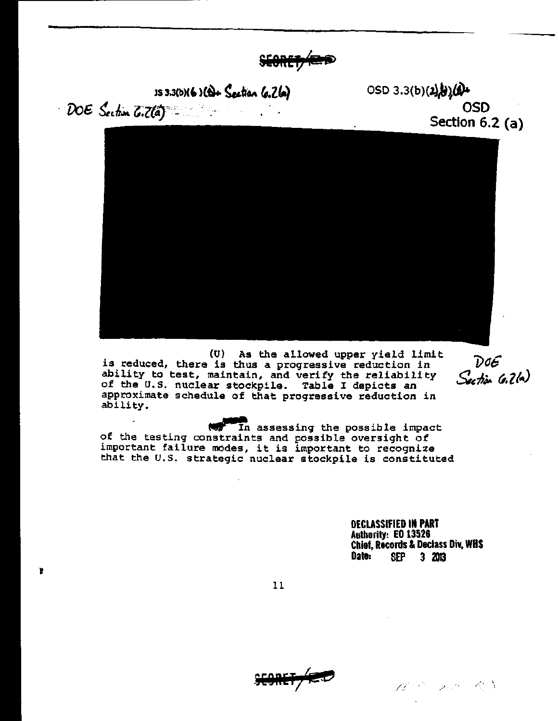SEORE<sup>+</sup>

 $153.3(b)(2)$   $(b) +$  Section (s. 2(a) 050 3.3(b)(2) $(b)(2)$ VoE, 1e,~~ ~;Z(lJ~;~ *.* OSD

Ť

Section  $6.2$  (a)



(U) As the allowed upper yield limit is reduced, there is thus a progressive reduction in ability *to* test, maintain, and verify the reliability of the *a.s.* nuclear stockpile. Table I depicts an approximate schedule of that progressive reduction in ability.

 $\mathcal{D}$ o $\mathcal{E}$ Section G. 2(a)

ability.<br>of the testing constraints and possible oversight of of the testing constraints and possible oversignt of<br>important failure modes, it is important to recognize that the U.S. strategic nuclear stockpile is constituted

> DECLASSIFIED IN PART Authority: EO 13526 Chief, Records & Declass Div, WHS SEP 3 2013

11

 $\mathsf{SE9REF}/\mathsf{E}\mathcal{D}$ 

 $\mathscr{A} \triangleq \mathscr{A} \triangleq \mathscr{A} \triangleq \mathscr{A} \triangleq \mathscr{A}$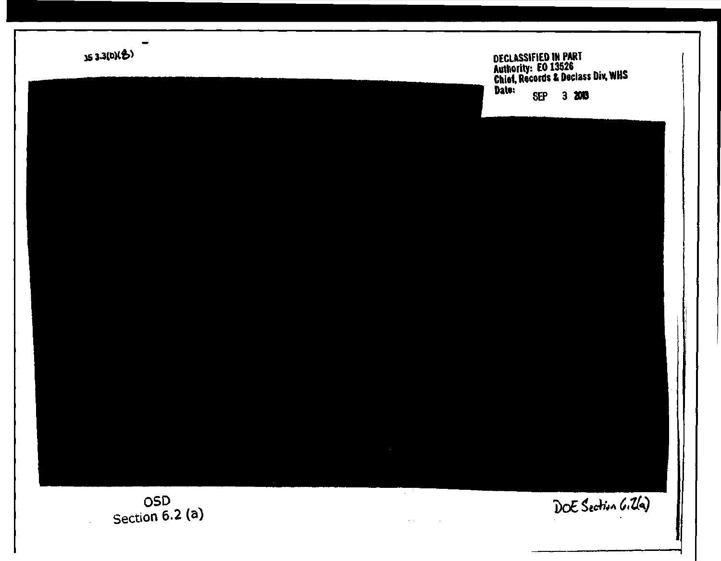

 $\sim$   $\sim$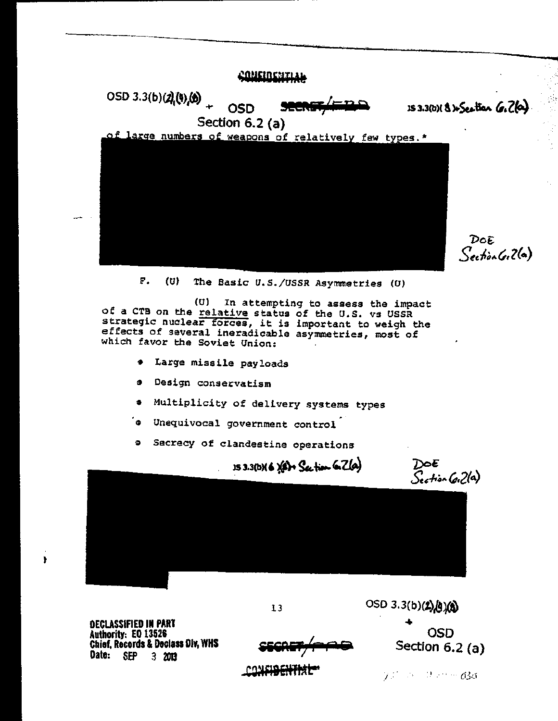

 $F$ .  $(U)$ The Basic U.S./USSR Asymmetries (U)

 $(\mathbf{U})$ In attempting to assess the impact of a CTB on the relative status of the U.S. vs USSR strategic nuclear forces, it is important to weigh the effects of several ineradicable asymmetries, most of which favor the Soviet Union:

- Large missile payloads  $\bullet$
- Design conservatism g.
- \* Multiplicity of delivery systems types
- s Unequivocal government control
- **9** Secrecy of clandestine operations

DOE<br>Section GiZla)  $153.3(b)$  6  $(6) +$  Section 6. Zla)

**DECLASSIFIED IN PART** Authority: EO 13526 Chief, Records & Declass Div, WHS Date: SEP 3 2013

OSD Section  $6.2$  (a)

OSD 3.3(b)(2)(b)(8)

**PONSIBILIT** 

 $13$ 

 $75^{\circ}$  . The mag  $63$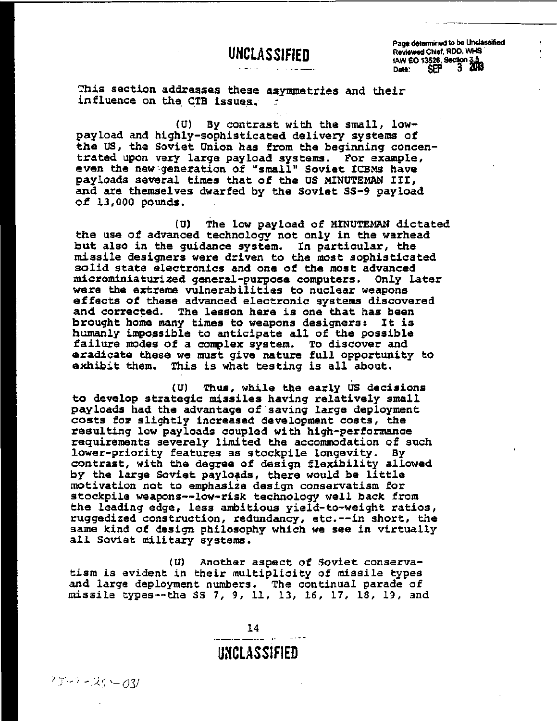Page determined to be Unclassified Reviewed Chief, RDD, WHS lAW £0 13526. Sedi 3  $\frac{1}{2}$ Date: SEP J OUN

This section addresses these asymmetries and their influence on the CTB issues.

(U) By contrast with the small, lowpayload and highly-sophisticated delivery systems of the US, the Soviet Union has from the beginning concentrated upon very large payload systems. For example, even the new generation of "small" Soviet ICBMs have payloads several times that of the US MINUTEMAN III, and are themselves dwarfed by the Soviet 5S-9 payload of 13,000 pounds.

(U) The low payload of MINUTEMAN dictated the use of advanced technology not only in the warhead but also in the guidance system. In particular, the missile designers were driven to the most sophisticated solid state electronics and one of the most advanced microminiaturized general-purpose computers. only later were the extreme vulnerabilities to nuclear weapons effects of these advanced electronic systems discovered and corrected. The lesson here is one that has been brought home many times to weapons designers: It is humanly impossible to anticipate all of the possible failure modes of a complex system. To discover and eradicate these we must give nature full opportunity to exhibit them. This is what testing is all about. This is what testing is all about.

(U) Thus, while the early US decisions to develop strategic missiles having relatively small payloads had the advantage of saving large deployment costs for slightly increased development costs, the<br>resulting low payloads coupled with high-performance requirements severely limited the accommodation of such<br>lower-priority features as stockpile longevity. By lower-priority features as stockpile longevity. contrast, with the degree of design flexibility allowed by the large Soviet payloads, there would be little motivation not to emphasize design conservatism for stockpile weapons--low-risk technology well back from the leading edge, less ambitious yield-to-weight ratios, ruggedized construction, redundancy, etc.--in short, the same kind of design philosophy which we see in virtually all Soviet military systems.

(0) Another aspect of Soviet conservatism is evident in their multiplicity of missile types and large deployment numbers. The continual parade of missile types--tha 55 7, 9, II, 13, 16, 17, 18, 19, and

14

## **UNCLASSIF1ED**

 $75 - 25 - 03$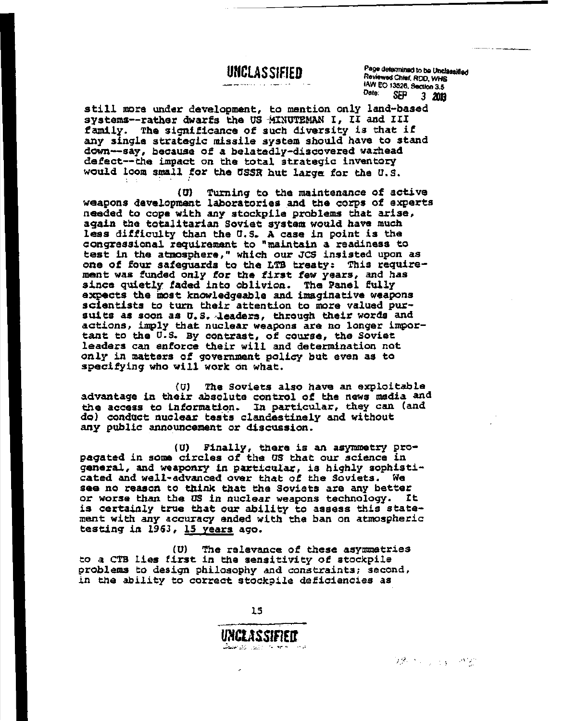$\frac{p_{\text{age}}}{p_{\text{deformed}}}\times p_{\text{deformed}}$ Reviewed Chief, RDD, WHS lAW EO 13526. Section 3.5 Date: SEP 3 *<sup>2013</sup>*

still more under development, to mention only land-based systems--rather dwarfs the US MINUTEMAN I, II and III family. The significance of such diversity is that if any single strategic missile system should have to stand down--say, because of a belatedly-discovered warhead defect--the impact on the total strategic inventory would loom small for the USSR hut large for the U.S.

(0) Turning to the maintenance of active weapons development laboratories and the corps of experts needed to cope with any stockpile problems that arise, again the totalitarian Soviet system would have much less difficulty than the U.S. A case in point is the congressional requirement to "maintain a readiness to test in the atmosphere," which our JCS insisted upon as one of four safeguards to the LTB treaty: This requirement was funded only for the first few years, and has since quietly. faded into oblivion. The Panel fully expects the most knowledgeable and imaginative weapons scientists to turn their attention to more valued pur-<br>suits as soon as *U.S. leaders,* through their words and actions, imply that nuclear weapons are no longer important to the U.S. By contrast, of course, the Soviet leaders can enforce their will and determination not only in matters of government policy but even as to specifying who will work on what.

CO) The Soviets also have an exploitable advantage in their absolute control of the news media and the access to information. In particular, they can (and do) conduct nuclear tests clandestinely and without any public announcement or discussion.

(U) Finally, there is an asymmetry propagated in some circles of the US that our science in general, and weaponry in particular, is highly sophisticated and well-advanced over that of the Soviets. We see no reason to think that the Soviets are any better or worse than the US in nuclear weapons technology. It is certainly true that our ability to assess this statement with any accuracy ended with the ban on atmospheric testing in 1963, 15 years ago.

(U) The relevance of these asymmetries *to* a eTB lies first in the sensitivity of stockpile 9roblems *to* design philosophy and constraints; second, in the ability to correct stockpile deficiencies as

UNCLASSIFIEIT ... ;'~;.' .:.:~~ -.:.: .. ~: ."- --;- "" .' ,:

つ落 ベッコド やめ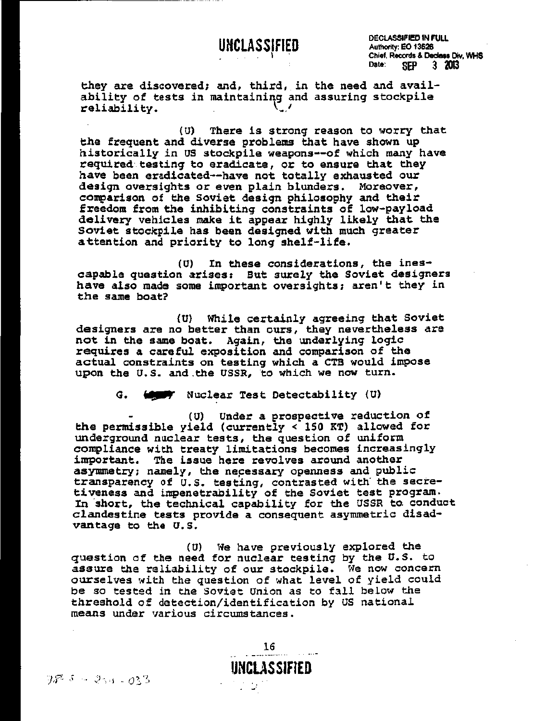# UNCLASS<sub>i</sub>fied

DECLASSIFIED IN FULL Authority: EO 13526 Chief. Records & Decless Div, WHS<br>Date: SEP 3 2013 Date: SEP 3 2013

they are discovered; and, third, in the need and availability of tests in maintaininq and assuring stockpile  $reliability.$ 

(U) There is strong reason to worry that the frequent and diverse problems that have shown up historically in us stockpile weapons--of which many have required testing to eradicate, or to ensure that they have been eradicated--have not totally exhausted our design oversights or even plain blunders. Moreover, comparison of the Soviet design philosophy and their freedom from the inhibiting constraints of low-payload delivery vehicles make it appear highly likely that the Soviet stockpile has been designed with much greater attention and priority to long shelf-life.

(U) In these considerations, the inescapable question arises: But surely the Soviet designers have also made some important oversights; aren't they in the same boat?

(U) While certainly agreeing that Soviet designers are no better than ours, they nevertheless are not in the same boat. Again, the underlying logic requires a careful exposition and comparison of the actual constraints on testing which a CTB would impose upon the U.S. and the USSR, to which we now turn.

G. **to y** Nuclear Test Detectability (U)

(U) Under a prospective reduction of the permissible yield (currently < 150 KT) allowed for underground nuclear tests, the question of uniform compliance with treaty limitations becomes increasingly important. The issue here revolves around another asymmetry; namely, the nepessary openness and public transparency of U.S. testing, contrasted with' the secretiveness and impenetrability of the Soviet test program. In short, the technical capability for the USSR to. conduct clandestine tests provide a consequent asymmetric disadvantage to the U.S.

(U) We have previously explored the question of the need for nuclear testing by the U.S. to assure the reliability of our stockpile. Ne now concern ourselves with the question of what level of yield could be so tested in the soviet union as to fall below the threshold of detection/identification by us national means under various circumstances.

 $\frac{16}{100}$ 

**UNCUS SIFtED** 

 $75-31.033$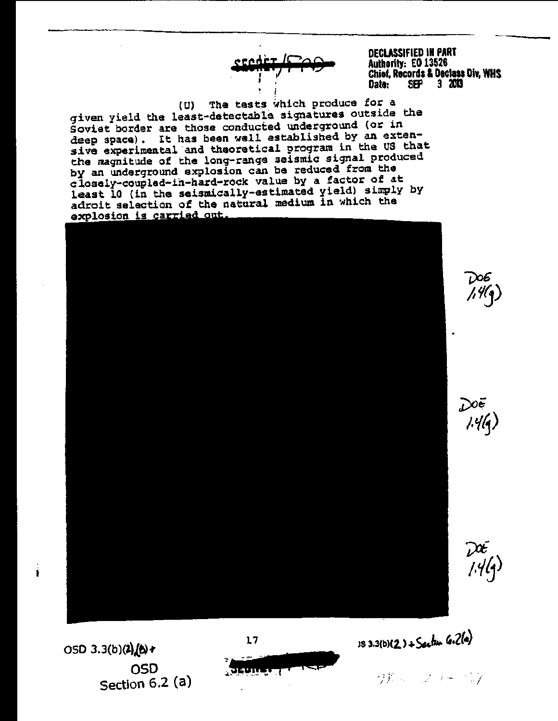**DECLASSIFIED IN PART** Authority: EO 13526 Chief, Records & Declass Div, WHS 3 2013 Dato: **SEP** 

The tests which produce for a (U) given yield the least-detectable signatures outside the Soviet border are those conducted underground (or in deep space). It has been well established by an extensive experimental and theoretical program in the US that the magnitude of the long-range seismic signal produced by an underground explosion can be reduced from the closely-coupled-in-hard-rock value by a factor of at least 10 (in the seismically-estimated yield) simply by adroit selection of the natural medium in which the explosion is carried out.

 $\epsilon$ eodèr l $\square$ 



 $17$ 

 $\sqrt{2}$ <u>EUniversity</u>

 $153.3(b)(2) + S$ ection  $6.2(a)$ 

サルーフラードン

OSD 3.3(b)(2)(b)+ OSD Section 6.2 (a)

İ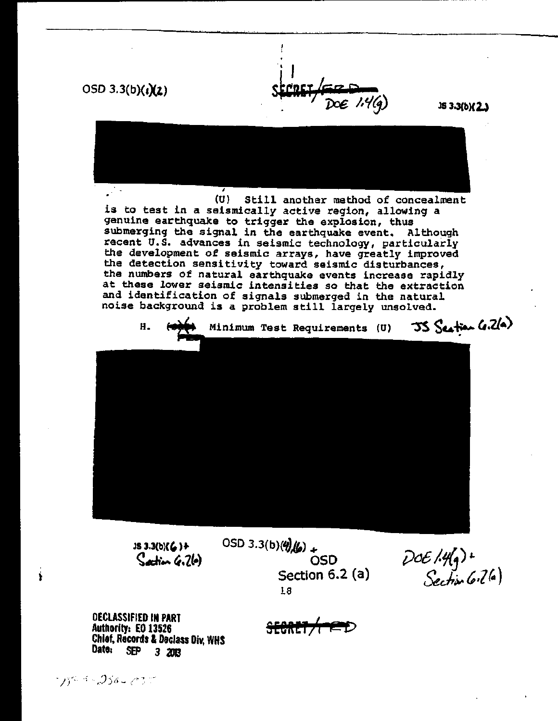$OSD 3.3(b)(i)(2)$ 

lS 3.3(b)( 2.J



(U) Still another method of concealment is to test in a seismically active region, allowing a genuine earthquake to trigger the explosion, thus submerging the signal in the earthquake event. Although recent u.s. advances in seismic technology, particularly the development of seismic arrays, have greatly improved the detection sensitivity toward seismic disturbances, the numbers of natural earthquake events increase rapidly at these lower seismic intensities so that the extraction and identification of signals submerged in the natural noise background is a problem still largely unsolved.



lS 3.3(b)C')+  $\mathcal{S}_{\text{action}}$   $\mathcal{C}_{\text{c}}$   $2\mathcal{C}_{\text{c}}$  OSD 3.3(b)( $\frac{q}{q}$ (b) + 050 Section 6.2 (a) 18

 $DOE$  /  $Hg$ ) +<br>Section (oil (a)

DECLASSIFIED IN PART Authority: EO 13526 Chief, Records & Declass Div, WHS<br>Date: SEP 3 2003 SEP 3 2013

<del>SECRET/MED</del>

784 - 256 - 23 T

Í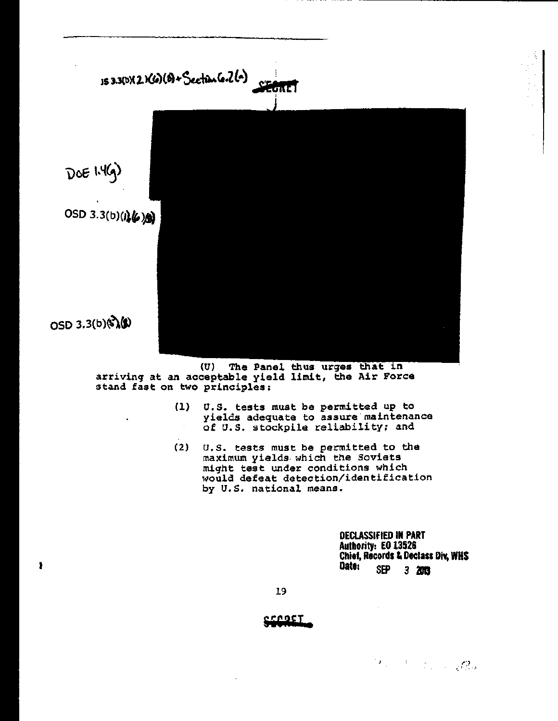

(U) The Panel arriving at an acceptable yield limit, the Air Force stand fast on two principles:

- (1) U.S. tests must be permitted up to yields adequate to assure maintenance of U.S. stockpile reliability; and
- $(2)$   $\,$  U.S. tests must be permitted to the maximum yields· which the Soviets might test under conditions which would defeat detection/identification by u.s. national means.

DECLASSIFIED IN PART Authority: EO 13526 Authority: EO 13324<br>Chief, Records & Declass Div, WHS<br>Date: SEP 3. 2013

19

t

<u>crogT</u>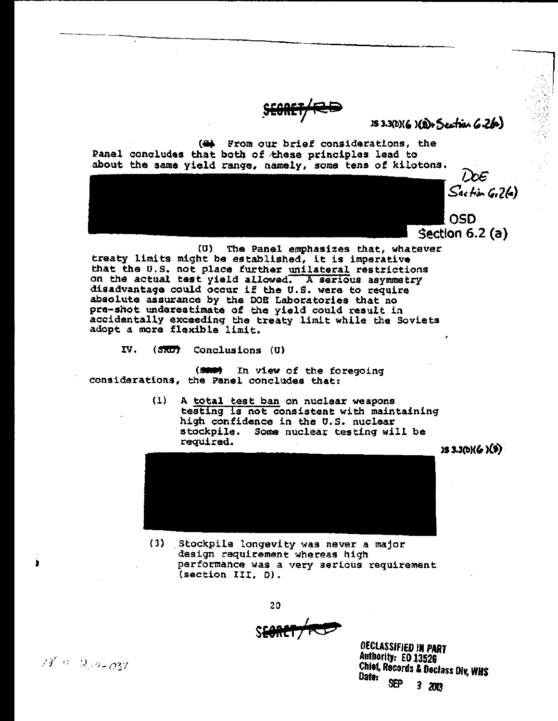$153.3(b)(6)(b) + 5$ extra  $6.26$ 

(4) From our brief considerations, the Panel concludes that both of these principles lead to about the same yield range, namely, some tens of kilotons.

 $\omega\varepsilon$  $S$ action  $G(26)$ 

OSD Section 6.2 (a)

(U) The Panel emphasizes that, whatever treaty limits might be established, it is imperative that the U.S. not place further <u>unilateral</u> restrictions on the actual test yield *allowed.* A serious asymmetry disadvantage could occur if the U.s. were to require disadvantage could occur if the U.S. were to require absolute assurance by the DOE Laboratories that no pre-shot underestimate of the yield could result in accidentally exceeding the treaty limit while the Soviets adopt a more flexible limit.

IV. (SRD) Conclusions (U)

(SAN) In view of the foregoing<br>considerations, the Panel concludes that:

(1) A total test ban on nuclear weapons testing is not consistent with maintaining high confidence in the U.S. nuclear stockpile. Some nuclear testing will be required.

 $153.3(b)(6)(9)$ 



(3) .Stockpile longevity was never a major design requirement whereas high performance was a very serious requirement (section III, *D).* 

20 <sup>I</sup>**SYRETj4<:t5** 

DECLASSifiED IN PART Authority: EO 13526 Chief, Records & Declass Diy. WHS Date: SEP 3 2013

 $15.0 \times 2.10 - 037$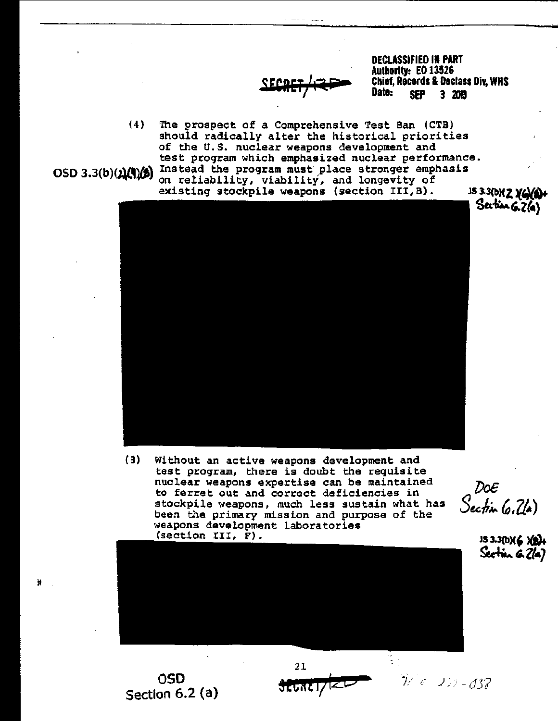

DECLASSIFIED IN PART Authority: EO 13526 Chief, Records & Declass DiY, WHS Date: SEP 3 2013

(4) The prospect of a Comprehensive Test Ban (CTB) should radically alter the historical priorities of the *u.s.* nuclear weapons development and test program which emphasized'nuclear performance. OSD 3.3(b)( $\chi$ (!)() Instead the program must place stronger emphasis on reliability, viability, and longevity of existing stockpile weapons (section III, B). IS3.3(b)( $\chi$ 



(8) Without an active weapons development and test program, there is doubt the requisite nuclear weapons expertise can be maintained to ferret out and correct deficiencies in stockpile weapons, much less sustain what has been the primary mission and purpose of the weapons development laboratories (section III, F).



 $DoE$ Section (0.24)

**JS 3.3(b){6 ){B}+** Section 6.2(a)

OSD Section 6.2 (a)



 $32.0001/120$   $1/6$   $1/3$   $-037$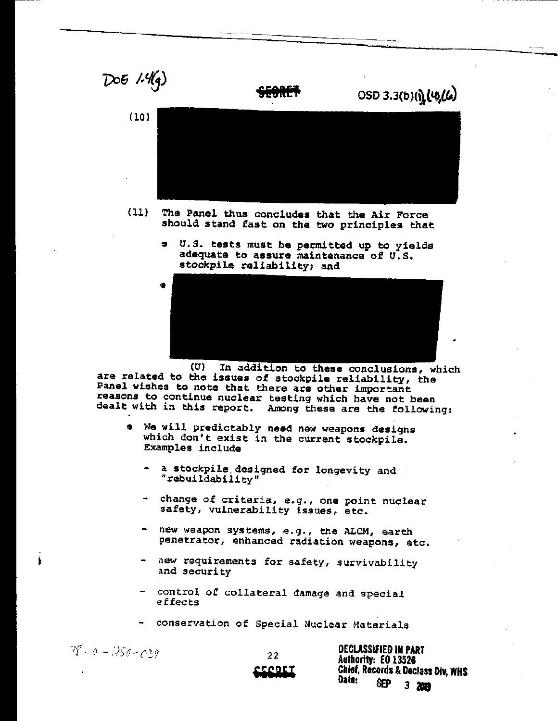

- (11) The Panel thus concludes that the Air Force should stand fast on the two principles that
	- , cr.S. tests must be permitted up to yields adequate to assure maintenance of *u.s.*  stockpile reliability; and



In addition to these conclusions, which (U) In addition to these conclusions, where related to the issues of stockpile reliability, the Panel wishes to note that there are other important reasons to continue nuclear testing which have not been dealt with in this report. Among these are the following:

- We will predictably need new weapons designs which don't exist in the current stockpile. Examples include
	- a stockpile. designed for longevity and "rebuildability"
	- change of criteria, e.g., one point nuclear safety, vulnerability issues, etc.
	- new weapon systems, e.g., the ALCM, earth penetrator, enhanced radiation weapons, etc.
	- new requirements for safety, survivability and security
	- control of collateral damage and special effects
	- conservation of Special Nuclear Materials

 $78 - 0 - 258 - 039$ 

22 **,.tR'I** 

DECLASSIFIED IN PART Authority: EO 13526 Chief, Records & Declass DiY, WHS Date: SEP 3.,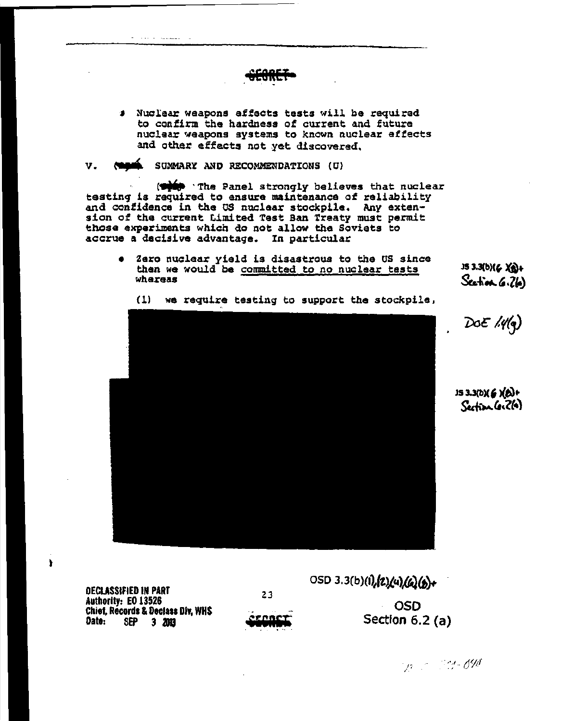- # Nuclear weapons effects tests will be required to confirm the hardness of current and future nuclear weapons systems to known nuclear effects and other effects not yet discovered.
- SUMMARY AND RECOMMENDATIONS (U)  $V_{\tau}$

and the components of the components of

(stip 'The Panel strongly believes that nuclear testing is required to ensure maintenance of reliability and confidence in the US nuclear stockpile. Any exten-<br>sion of the current Limited Test Ban Treaty must permit those experiments which do not allow the Soviets to accrue a decisive advantage. In particular

Zero nuclear yield is disastrous to the US since  $\bullet$ then we would be committed to no nuclear tasts whereas

 $153.3(b)(6)(a)$ Section 6.26)

 $(1)$ we require testing to support the stockpile,



 $D$ oE  $\mathcal{M}(q)$ 

IS 3.3(D)(6)(B)+ Section Co. 2(a)

**DECLASSIFIED IN PART** Authority: EO 13526 **Chief, Records & Declass Div. WHS** Date: SEP 3 2013

١

23

<u>ironc</u>

OSD 3.3(b)(1), [2) (4) (6) (b)+ **OSD** Section  $6.2$  (a)

Sp. 2012-098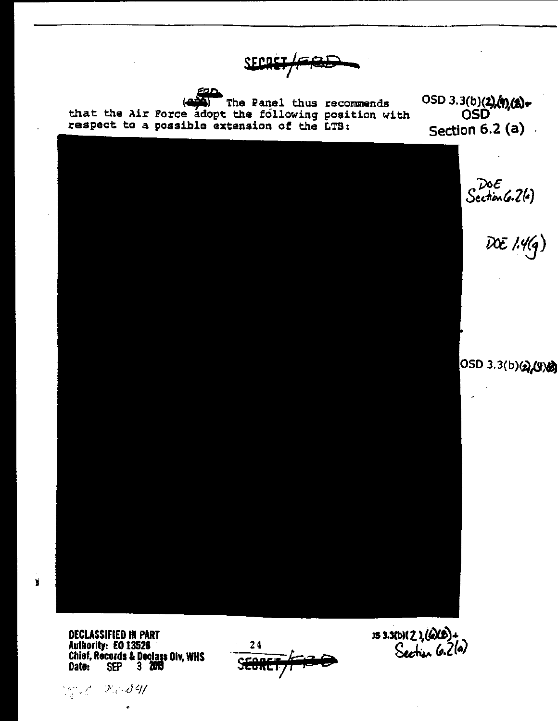**SFADEI** 

(4) The Panel thus recommends<br>that the Air Porce adopt the following position with respect to a possible extension of the LTB:

EQD

0SD 3.3(b)(2)(1)(2)+ Section  $6.2$  (a)



**DECLASSIFIED IN PART** Authority: EO 13526 Chief, Records & Declass Div, WHS<br>Date: SEP 3 2013

March (Karl **41** 

¥



153.30127, 600)+<br>Section 6.2(a)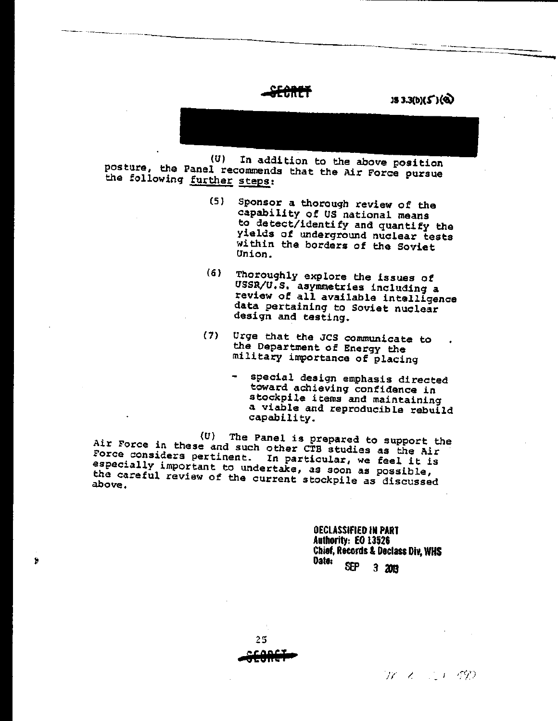-------------------------------

 $JS 3.3(b)(5')$ (@)

(U) In addition to the above position posture, the Panel recommends that the Air Force pursue the following further steps:

- (S) Sponsor a thorough review of the capability of US national means to detect/identify and quantify the yields of underground nuclear tests within the borders of the Soviet Union.
- (6) Thoroughly explore the issues of USSR/U.S. asymmetries including a review of all available intelligence data pertaining to Soviet nuclear design and testing.
- {7} Urge that the JCS communicate to the Department of Energy the military importance of placing
	- special design emphasis directed toward achieving confidence in stockpile items and maintaining a viable and reproducible rebuild capabili ty.

*(U)* The Panel is prepared to support the Force considers pertinent. In particular, we feel it is especially important to undertake, as soon as possible, the careful review of the current stockpile as discussed

> OECLASSIFIED IN PART Authority: EO 13526 Chief, Records & Declass Div, WHS<br>Date:<br> SEP 3 2013



 $\hat{\mathbf{z}}$ 

*I;--'* ,I \_ *,r,:* (/")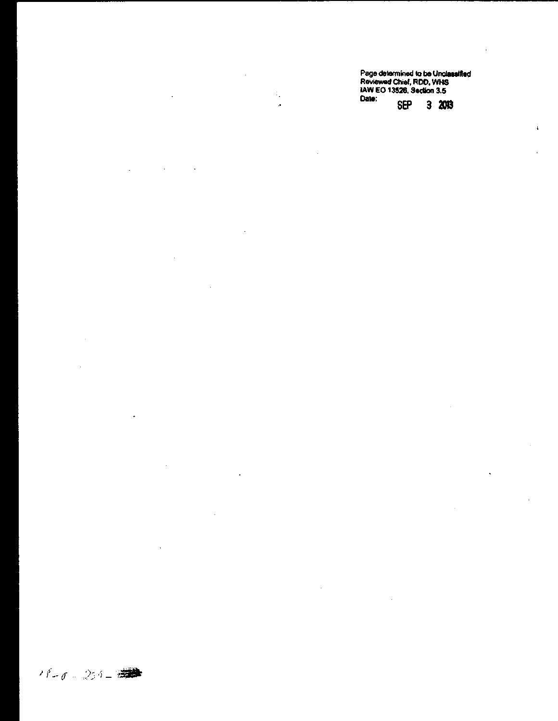Page determined to be Unclassified<br>Reviewed Chief, RDD, WHS<br>JAW EO 13526, Section 3.5<br>Date: encourante com  $\hat{\beta}_\bullet$ **SEP**  $32003$ t.

 $\bar{z}$ 

 $\bar{z}$ 

 $\mathbb{R}^2$ 

 $\ddot{\phantom{0}}$ 

 $\bar{1}$ 

 $\cdot$  $\bar{\mathcal{A}}$ L.

 $\ddot{\phantom{a}}$ 

 $\ddot{\phantom{0}}$ 

 $\bar{z}$ 

 $\bar{z}$ 

l,

 $\ddot{\phantom{a}}$ 

 $17 - 0.256 - 0.000$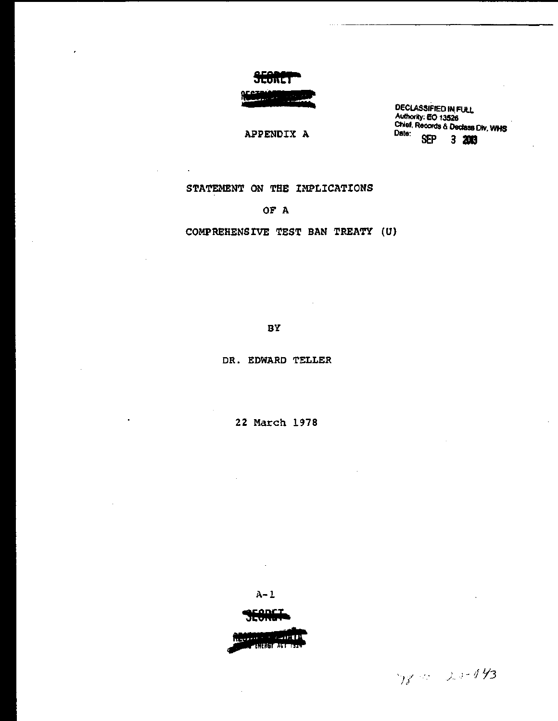

#### APPENDIX A

DECLASSIFIED IN FULL Authority: EO 13526<br>Chief, Records & Declass Div, WHS Date:<br>SEP  $3200$ 

#### STATEMENT ON THE IMPLICATIONS

 $\ddot{\phantom{a}}$ 

#### OF A

COMPREHENSIVE TEST BAN TREATY (U)

BY

DR. EDWARD TELLER

22 March 1978

 $A-1$ 

<u>conct</u>

Never a constitution **TARTAST AUTOMOBILE** 

78-10 20-043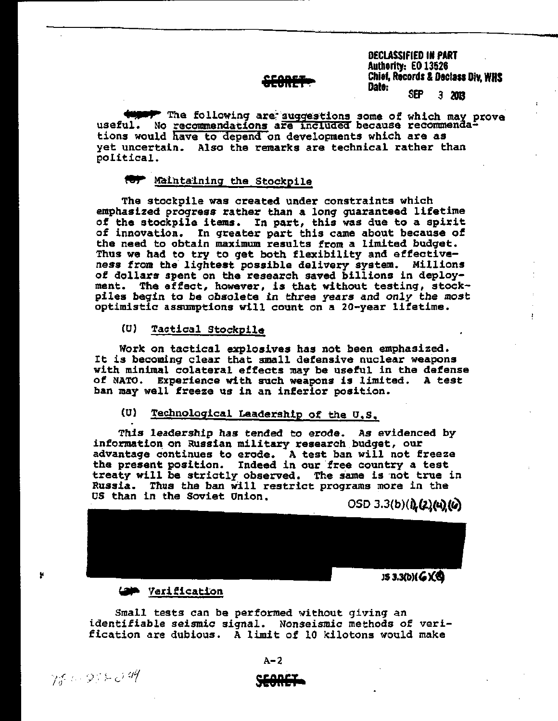## 6i9RET.

DECLASSIFIED IN PART Authority: EO 13526 Chief, Records & Daclass DiY, WMS Data: SEP 3 <sup>2013</sup>

"-

*AUNDI* The following are suggestions some of which may prove useful. No recommendations are included because recommendations would have to depend on developments which are as yet uncertain. Also the remarks are technical rather than political.

#### **ROP** Maintaining the Stockpile

The stockpile was created under constraints which emphasized progress rather than a long guaranteed lifetime of the stockpile items. In part, this was due to a spirit of innovation. In greater part this came about because of the need to obtain maximum results from a limited budget. Thus we had to try to get both flexibility and effectiveness from the lightest possible delivery system. Millions of dollars spent on the research saved billions in deployment. The affect, however, is that without testing, stockpiles begin to be obsolete in three years and *only* the most optimistic assumptions will count on a 20-year lifetime.

#### (U) Tactical Stockpile

Work on tactical explosives has not been emphasized. It is becoming clear that small defensive nuclear weapons with minimal colateral effects may be useful in the defense of NATO. Experience with such weapons is limited. A test ban may well freeze us in an inferior position.

### (0) Technological Leadership of the O,S.

This leadership has tended to erode. As evidenced by information on Russian military research budget, our advantage continues to erode. A test ban will not freeze the present position. Indeed in our free country a test treaty will be strictly observed. The same is not true in Russia. Thus the ban will restrict programs more in the us than in the Soviet Onion.

OSD 3.3(b)( $0.22(4)(6)$ 



#### **GM** Verification

Small tests can be performed without giving an identifiable seismic signal. Nonseismic methods of verification are dubious. A limit of 10 kilotons would make

 $\gamma_{\sigma}$  .  $\gamma_{\sigma}$  .  $\gamma_{\sigma}$  . The set of  $\theta$  is the contract of  $\theta$  is the contract of  $\theta$  . The set of  $\theta$  is the set of  $\theta$  is the set of  $\theta$  is the set of  $\theta$  is the set of  $\theta$  is the set of  $\theta$  is the set

×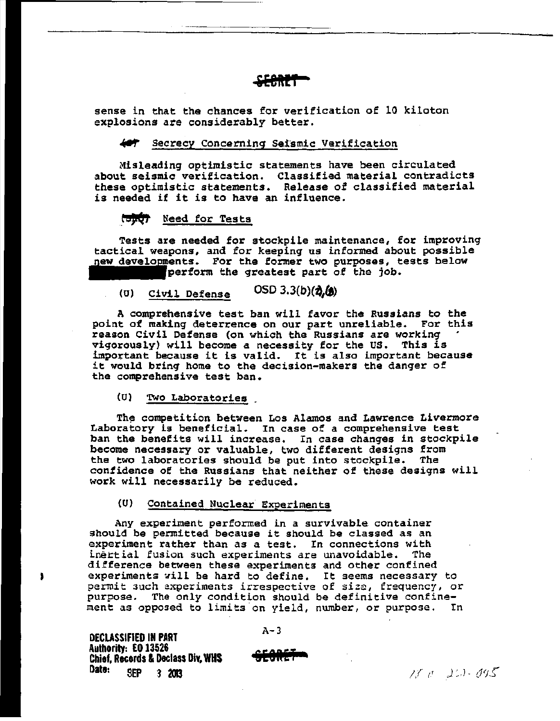sense in that the chances for verification of 10 kiloton explosions are considerably better.

**'EOft!l** 

#### Secrecy Concerning Seismic Verification

Misleading optimistic statements have been circulated about seismic verification. Classified material contradicts these optimistic statements. Release of classified material is needed if it is to have an influence.

#### Need for Tests

Tests are needed for stockpile maintenance, for improving<br>tactical weapons, and for keeping us informed about possible tactical weapons, and for keeping us informed about possible new developments. For the former two purposes, tests below new developments. For the former two purposes, the greatest part of the job.

### (U) Civil Defense  $OSD 3.3(b)(2, (g))$

A comprehensive test ban will favor the Russians to the point of making deterrence on our part unreliable. For this reason Civil Defense (on which the Russians are working vigorously) will become a necessity for the US. This is important because it is valid. It is also important because it would bring home to the decision-makers the danger of the comprehensive test ban.

(U) Two Laboratories .

The competition between Los Alamos and Lawrence Livermore Laboratory is beneficial. In case of a comprehensive test ban the benefits will increase. In case changes in stockpile become necessary or valuable, two different designs from<br>the two laboratories should be put into stockpile. The the two laboratories should be put into stockpile. confidence of the Russians that neither of these designs will work will necessarily be reduced.

#### (U) Contained Nuclear Experiments

Any experiment performed in a survivable container should be permitted because it should be classed as an experiment rather than as a test. In connections with institution such experiments are unavoidable. The inertial fusion such experiments are unavoidable. difference between these experiments and other confined experiments will be hard to define. It seems necessary to permit 3uch experiments irrespective of size, frequency, or purpose. The only condition should be definitive confinement as opposed to limits on yield, number, or purpose. In

DECLASSIFIED IN PART Authority: EO 13526 Chief, Records & Declass Div, WHS<br>Date: Perp 2002 SEP 3 2013

 $A - 3$ 

**&EOftET** 

 $15c - 223 \cdot 0.95$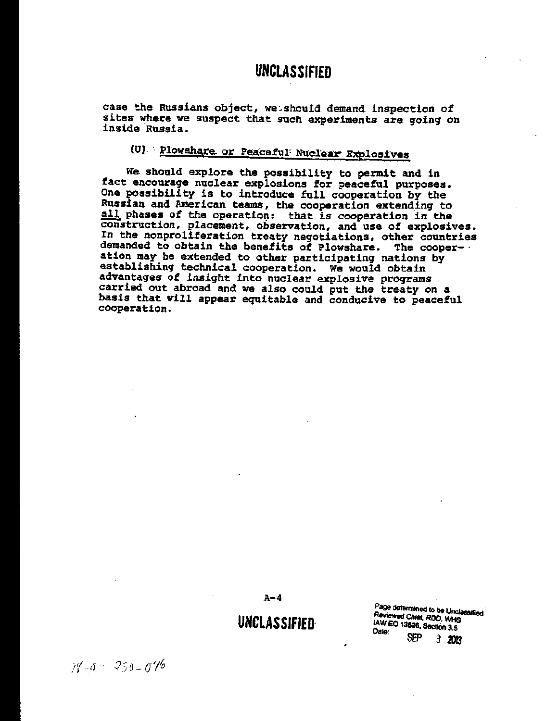case the Russians object, we should demand inspection of sites where we suspect that such experiments are going on inside Russia.

## (U) Plowshare or Peaceful Nuclear Explosives

We should explore the possibility to permit and in fact encourage nuclear explosions for peaceful purposes. One possibility is to introduce full cooperation by the Russian and American teams, the cooperation extending to all phases of the operation: that is cooperation in the construction, placement, observation, and use of explosives.<br>In the nonproliferation treaty negotiations, other countries demanded to obtain the benefits of Plowshare. The cooperation may be extended to other participating nations by establishing technical cooperation. We would obtain advantages of insight into nuclear explosive programs carried out abroad and we also could put the treaty on a basis that will appear equitable and conducive to peaceful cooperation.

 $A - 4$ 

### **UNCLASSIFIED**

Page determined to be Unclassified Reviewed Chief, ROD, WHS IAW EO 13828, Section 3.5 Date: SFP.  $320R$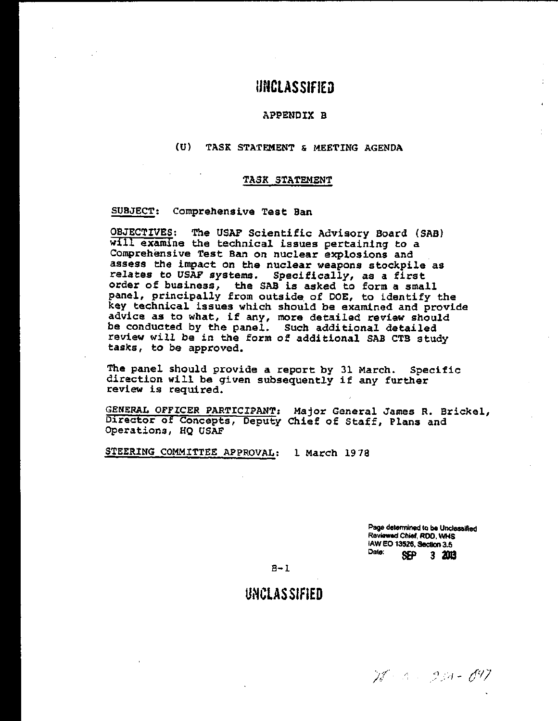#### APPSNDIX B

#### (U) TASK STATEMENT & MEETING AGENDA

#### TASK STATEMENT

SUBJECT: Comprehensive Test Ban

OBJECTIVES: The USAF Scientific Advisory Board (SAB) will examine the technical issues pertaining to a Comprehensive Test Ban on nuclear explosions and assess the impact on the nuclear weapons stockpile as relates to USAF systems. Specifically, as a first order of business, the SAB is asked to form a small panel, principally from outside, of DOE, to identify the key technical issues which should be examined and provide advice as to what, if any, more detailed review should be conducted by the panel. Such additional detailed review will be in the form of additional SAB CTB study tasks, to be approved.

The panel should provide a report by 31 March. Specific direction will be given subsequently if any further review is required.

GENERAL OFFICER PARTICIPANT: Major General James R. Brickel, Director of Concepts, Deputy Chief of Staff, Plans and Operations, HQ USAF

STEERING COMMITTEE APPROVAL: 1 March 1978

Page determined to be Unclassified Reviewed Chief, ROO, WHS lAW EO 13526. Section 3.5 Date: SEP 3 3JI3

 $B-1$ 

### **UNCLASSIFiED**

1 - *934 - 09*7.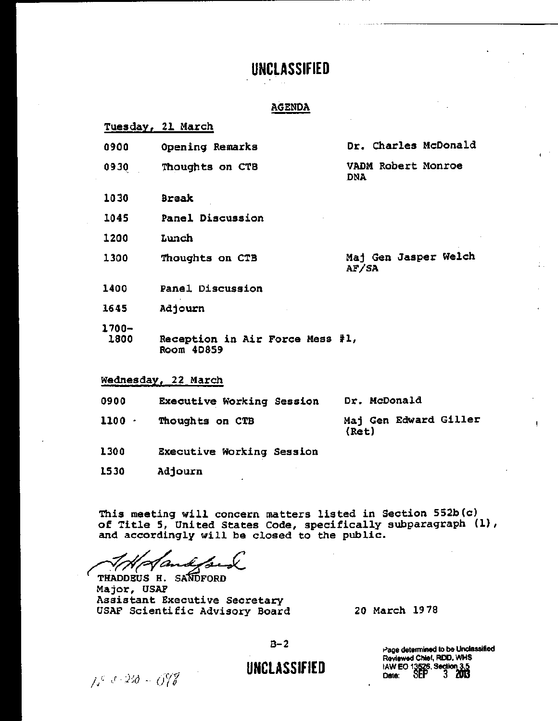#### AGENDA

|                  | Tuesday, 21 March                             |                                  |
|------------------|-----------------------------------------------|----------------------------------|
| 0900             | Opening Remarks                               | Dr. Charles McDonald             |
| 0930             | Thoughts on CTB                               | VADM Robert Monroe<br><b>DNA</b> |
| 1030             | <b>Break</b>                                  |                                  |
| 1045             | Panel Discussion                              |                                  |
| 1200             | Lunch                                         |                                  |
| 1300             | Thoughts on CTB                               | Maj Gen Jasper Welch<br>AF/SA    |
| 1400             | Panel Discussion                              |                                  |
| 1645             | Adjourn                                       |                                  |
| $1700 -$<br>1800 | Reception in Air Force Mess #1,<br>Room 4D859 |                                  |
|                  | Wednesday, 22 March                           |                                  |

0900 Executive Working Session

Dr. McDonald

 $1100$ Though ts on CTB Maj Gen Edward Giller (Ret)

- 1300 Executive Working Session
- 1530 Adjourn

This meeting will concern matters listed in Section 552b(c) of Title 5, United States Code, specifically subparagraph (I), and accordingly will be closed to the public.

AM Handysia

THADDEUS H. SANDFORD<br>Major, USAF Assistant Executive Secretary USAF Scientific Advisory Board

20 March 1978

 $B-2$ 

## **UNCLASSIFIED**

Page determined to be Unclassified Reviewed Chief, ROO, WHS lAW EO 13526, Section 3.5<br>Date: 6EP 3 2013

 $1.6820 - 0.078$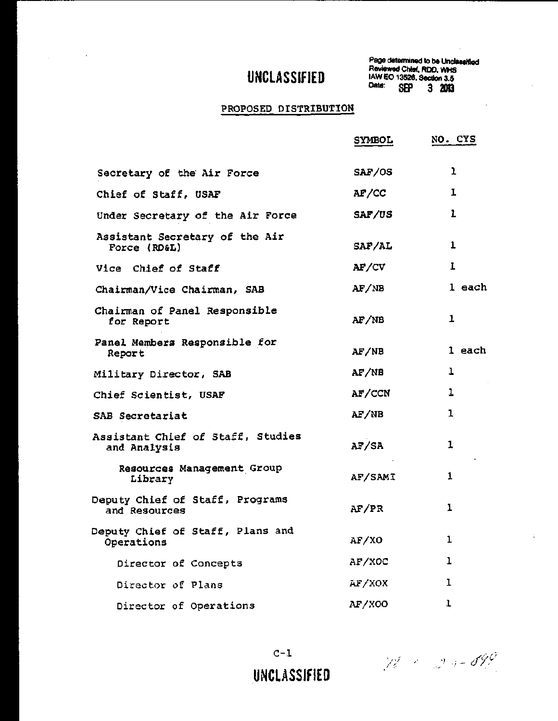$\Delta \phi = 0.0000$  and  $\Delta \phi = 0.0000$ 

Page determined to be Unclassified Reviewed Chief, ROD, WHS lAW EO 13526, SectIon 3.5 Date: SEP 3 2013

 $\sim$ 

 $\ddot{\phantom{a}}$ 

 $\ddot{\phantom{a}}$ 

### PROPOSED DISTRIBUTION

|                                                   | SYMBOL         | NO. CYS      |
|---------------------------------------------------|----------------|--------------|
| Secretary of the Air Force                        | SAF/OS         | ı            |
| Chief of Staff, USAF                              | AF/CC          | $\mathbf{I}$ |
| Under Secretary of the Air Force                  | SAF/US         | $\mathbf{1}$ |
| Assistant Secretary of the Air<br>Force (RD&L)    | <i>SAF/AL</i>  | $\mathbf{1}$ |
| Vice Chief of Staff                               | AF/CV          | $\mathbf{I}$ |
| Chairman/Vice Chairman, SAB                       | AF/NB          | 1 each       |
| Chairman of Panel Responsible<br>for Report       | AF/NB          | 1            |
| Panel Members Responsible for<br>Report           | AF/NB          | 1 each       |
| Military Director, SAB                            | AF/NB          | $\mathbf 1$  |
| Chief Scientist, USAF                             | AF/CCN         | 1            |
| SAB Secretariat                                   | AF/NB          | 1            |
| Assistant Chief of Staff, Studies<br>and Analysis | AF/SA          | 1            |
| Resources Management Group<br>Library             | <b>AF/SAMI</b> | 1            |
| Deputy Chief of Staff, Programs<br>and Resources  | AF/PR          | ı            |
| Deputy Chief of Staff, Plans and<br>Operations    | AF/XO          | ı            |
| Director of Concepts                              | AF/XOC         | 1            |
| Director of Plans                                 | AF/XOX         | I            |
| Director of Operations                            | AF/X00         | 1            |

 $12 - 2 - 599$ 

UNCLASSIFIED

 $C-1$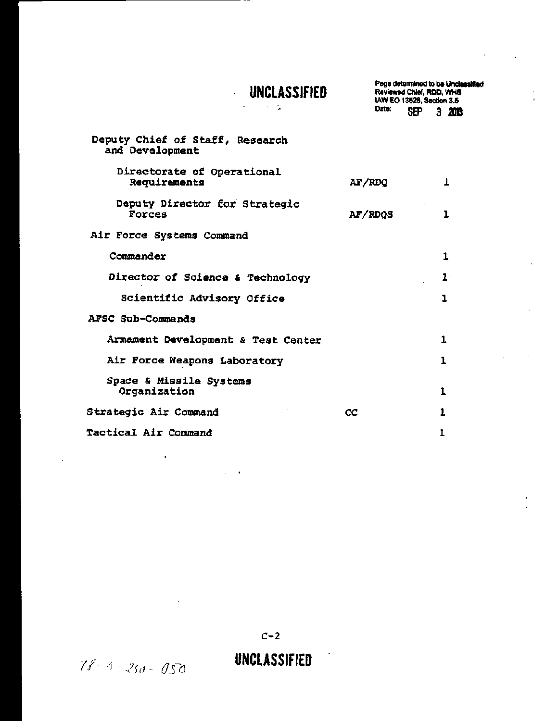## UNCLASSIFIED  $\frac{1}{2} \left( \frac{1}{2} \right) \left( \frac{1}{2} \right) \left( \frac{1}{2} \right) \left( \frac{1}{2} \right)$

 $\hat{\mathcal{L}}$ 

Page determined to be Uncleasified<br>Reviewed Chief, RDD, WHS<br>IAW EO 13526, Section 3.5 Date: **SEP**  $320B$ 

 $\cdot$ 

 $\mathcal{A}^{\pm}$ 

| Deputy Chief of Staff, Research<br>and Development |                |          |
|----------------------------------------------------|----------------|----------|
| Directorate of Operational<br>Requirements         | AF/RDQ         | 1        |
| Deputy Director for Strategic<br>Forces            | <b>AF/RDQS</b> | $\bf{l}$ |
| Air Force Systems Command                          |                |          |
| Commander                                          |                | 1        |
| Director of Science & Technology                   |                | $1 -$    |
| Scientific Advisory Office                         |                | ı        |
| AFSC Sub-Commands                                  |                |          |
| Armament Development & Test Center                 |                | 1        |
| Air Force Weapons Laboratory                       |                | 1        |
| Space & Missile Systems<br>Organization            |                | 1        |
| Strategic Air Command<br>СC                        |                | 1        |
| <b>Tactical Air Command</b>                        |                |          |

 $C-2$ 

 $\blacksquare$ 

**UNCLASSIFIED** 

÷,

 $78 - 4 - 250 - 050$ 

 $\ddot{\phantom{1}}$ 

 $\ddot{\phantom{a}}$